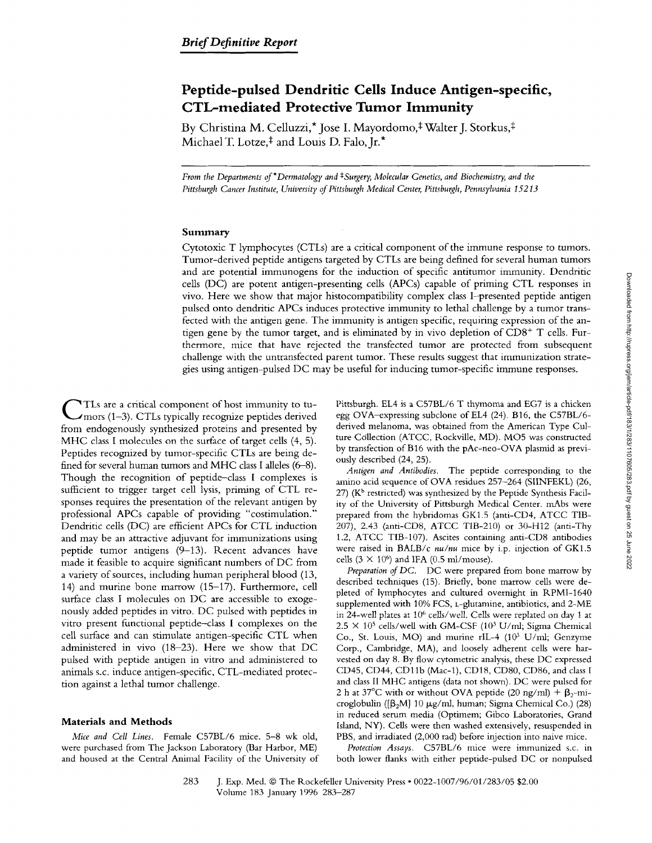# **Peptide-pulsed Dendritic Cells Induce Antigen-specific, CTL-mediated Protective Tumor Immunity**

By Christina M. Celluzzi,<sup>\*</sup> Jose I. Mayordomo,<sup>‡</sup> Walter J. Storkus,<sup>‡</sup> Michael T. Lotze,<sup>‡</sup> and Louis D. Falo, Jr.<sup>\*</sup>

*From the Departments of \*Dermatology and <sup>‡</sup>Surgery, Molecular Genetics, and Biochemistry, and the Pittsburgh Cancer Institute, University of Pittsburgh Medical Center, Pittsburgh, Pennsylvania 15213* 

## **Summary**

Cytotoxic T lymphocytes (CTLs) are a critical component of the immune response to tumors. Tumor-derived peptide antigens targeted by CTLs are being defined for several human tumors and are potential imrnunogens for the induction of specific antitumor immunity. Dendritic cells (DC) are potent antigen-presenting cells (APCs) capable of priming CTL responses in vivo. Here we show that major histocompatibility complex class I-presented peptide antigen pulsed onto dendritic APCs induces protective immunity to lethal challenge by a tumor transfected with the antigen gene. The immunity is antigen specific, requiring expression of the antigen gene by the tumor target, and is eliminated by in vivo depletion of  $CDS<sup>+</sup> T$  cells. Furthermore, mice that have rejected the transfected tumor are protected from subsequent challenge with the untransfected parent tumor. These results suggest that immunization strategies using antigen-pulsed DC may be useful for inducing tumor-specific immune responses.

**C** TLs are a critical component of host immunity to tu-mors (1-3). CTLs typically recognize peptides derived from endogenously synthesized proteins and presented by MHC class I molecules on the surface of target ceils (4, 5). Peptides recognized by tumor-specific CTLs are being defined for several human tumors and MHC class I alleles (6-8). Though the recognition of peptide-class I complexes is sufficient to trigger target cell lysis, priming of CTL responses requires the presentation of the relevant antigen by professional APCs capable of providing "costimulation." Dendritic cells (DC) are efficient APCs for CTL induction and may be an attractive adjuvant for immunizations using peptide tumor antigens (9-13). Recent advances have made it feasible to acquire significant numbers of DC from a variety of sources, including human peripheral blood (13, 14) and murine bone marrow (15-17). Furthermore, cell surface class I molecules on DC are accessible to exogenously added peptides in vitro. DC pulsed with peptides in vitro present functional peptide-class I complexes on the cell surface and can stimulate antigen-specific CTL when administered in vivo (18-23). Here we show that DC pulsed with peptide antigen in vitro and administered to animals s.c. induce antigen-specific, CTL-mediated protection against a lethal tumor challenge.

#### **Materials and Methods**

*Mice and Cell Lines.* Female C57BL/6 mice. 5-8 wk old, were purchased from The Jackson Laboratory (Bar Harbor, ME) and housed at the Central Animal Facility of the University of Pittsburgh. EL4 is a C57BL/6 T thymoma and EG7 is a chicken egg OVA-expressing subclone of EL4 (24). B16, the C57BL/6 derived melanoma, was obtained from the American Type Culture C611ection (ATCC, Rockville, MD). MO5 was constructed by transfection of B16 with the pAc-neo-OVA plasmid as previously described (24, 25).

*Antigen and Antibodies.* The peptide corresponding to the amino acid sequence of OVA residues 257-264 (SIINFEKL) (26, 27) ( $K^b$  restricted) was synthesized by the Peptide Synthesis Facility of the University of Pittsburgh Medical Center. mAbs were prepared from the hybridomas GK1.5 (anti-CD4, ATCC TIB-207), 2.43 (anti-CD8, ATCC TIB-210) or 30-H12 (anti-Thy 1.2, ATCC TIB-107). Ascites containing anti-CD8 antibodies were raised in BALB/c *nu/nu* mice by i.p, injection of GK1.5 cells (3  $\times$  10<sup>6</sup>) and IFA (0.5 ml/mouse).

*Preparation of DC.* DC were prepared from bone marrow by described techniques (15). Briefly, bone marrow cells were depleted of lymphocytes and cultured overnight in RPMI-1640 supplemented with 10% FCS, t-glutamine, antibiotics, and 2-ME in 24-well plates at 106 cells/well. Cells were replated on day 1 at  $2.5 \times 10^5$  cells/well with GM-CSF (10<sup>3</sup> U/ml; Sigma Chemical Co., St. Louis, MO) and murine rIL-4  $(10^3 \text{ U/ml}; \text{Genzyme})$ Corp., Cambridge, MA), and loosely adherent cells were harvested on day 8. By flow cytometric analysis, these DC expressed CD45, CD44, CD1 lb (Mac-l), CD18, CD80, CD86, and class I and class II MHC antigens (data not shown). DC were pulsed for 2 h at 37°C with or without OVA peptide (20 ng/ml) +  $\beta_{2}$ -microglobulin ( $[\beta_2M]$  10  $\mu$ g/ml, human; Sigma Chemical Co.) (28) in reduced serum media (Optimem; Gibco Laboratories, Grand Island, NY). Cells were then washed extensively, resuspended in PBS, and irradiated (2,000 rad) before injection into naive mice.

*Protection Assays.* C57BL/6 mice were immunized s.c. in both lower flanks with either peptide-pulsed DC or nonpulsed

283 J. Exp. Med. © The Rockefeller University Press • 0022-1007/96/01/283/05 \$2.00 Volume 183 January 1996 283-287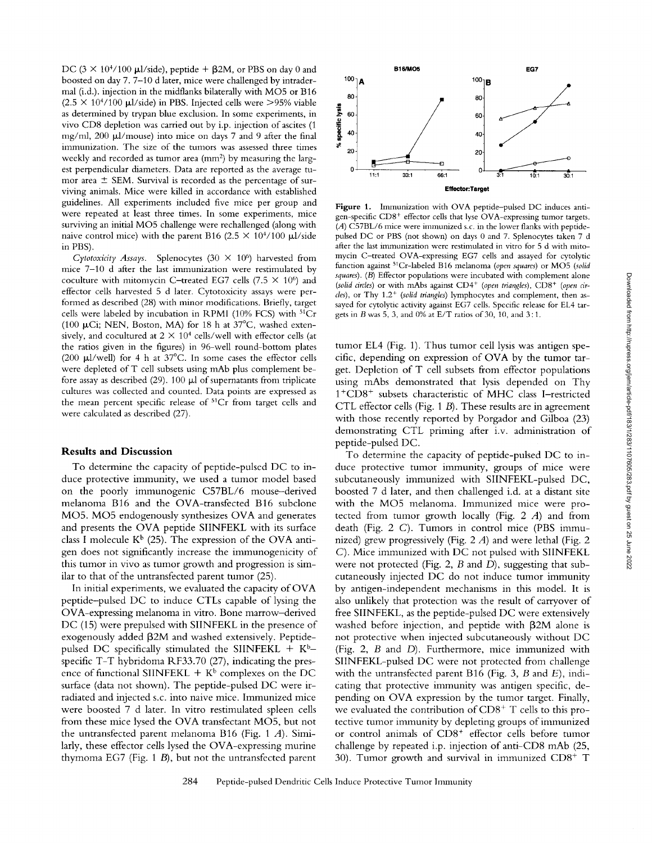DC ( $3 \times 10^{4}/100$  µl/side), peptide +  $\beta$ 2M, or PBS on day 0 and boosted on day 7.7-10 d later, mice were challenged by intradermal (i.d.). injection in the midflanks bilaterally with MO5 or B16  $(2.5 \times 10^{4}/100 \mu l/\text{side})$  in PBS. Injected cells were >95% viable as determined by trypan blue exclusion. In some experiments, in vivo CD8 depletion was carried out by i.p. injection of ascites (1 mg/ml,  $200 \mu l/mouse$ ) into mice on days 7 and 9 after the final immunization. The size of the tumors was assessed three times weekly and recorded as tumor area  $(nm<sup>2</sup>)$  by measuring the largest perpendicular diameters. Data are reported as the average tumor area  $\pm$  SEM. Survival is recorded as the percentage of surviving animals. Mice were killed in accordance with established guidelines. All experiments included five mice per group and were repeated at least three times. In some experiments, mice surviving an initial MO5 challenge were rechallenged (along with naive control mice) with the parent B16 (2.5  $\times$  10<sup>4</sup>/100 µl/side in PBS).

*Cytotoxicity Assays.* Splenocytes (30  $\times$  10<sup>6</sup>) harvested from mice 7-10 d after the last immunization were restimulated by coculture with mitomycin C-treated EG7 cells (7.5  $\times$  10<sup>6</sup>) and effector cells harvested 5 d later. Cytotoxicity assays were performed as described (28) with minor modifications. Briefly, target cells were labeled by incubation in RPMI (10% FCS) with 51Cr (100  $\mu$ Ci; NEN, Boston, MA) for 18 h at 37°C, washed extensively, and cocultured at  $2 \times 10^4$  cells/well with effector cells (at the ratios given in the figures) in 96-well round-bottom plates (200  $\mu$ 1/well) for 4 h at 37°C. In some cases the effector cells were depleted of T cell subsets using mAb plus complement before assay as described (29). 100  $\mu$ l of supernatants from triplicate cultures was collected and counted. Data points are expressed as the mean percent specific release of <sup>51</sup>Cr from target cells and were calculated as described (27).

### **Results and Discussion**

To determine the capacity of peptide-pulsed DC to induce protective immunity, we used a tumor model based on the poorly immunogenic C57BL/6 mouse-derived melanoma B16 and the OVA-transfected B16 subclone MO5. MO5 endogenously synthesizes OVA and generates and presents the OVA peptide SIINFEKL with its surface class I molecule  $K^b$  (25). The expression of the OVA antigen does not significantly increase the immunogenicity of this tumor in vivo as tumor growth and progression is similar to that of the untransfected parent tumor (25).

In initial experiments, we evaluated the capacity of OVA peptide-pulsed DC to induce CTLs capable of lysing the OVA-expressing melanoma in vitro. Bone marrow-derived DC (15) were prepulsed with SIINFEKL in the presence of exogenously added  $\beta$ 2M and washed extensively. Peptidepulsed DC specifically stimulated the SIINFEKL +  $K<sup>b</sup>$ specific T-T hybridoma RF33.70 (27), indicating the presence of functional SIINFEKL  $+ K^b$  complexes on the DC surface (data not shown). The peptide-pulsed DC were irradiated and injected s.c. into naive mice. Immunized mice were boosted 7 d later. In vitro restimulated spleen cells from these mice lysed the OVA transfectant MO5, but not the untransfected parent melanoma B16 (Fig. 1 A). Similarly, these effector cells lysed the OVA-expressing murine thymoma EG7 (Fig. 1 B), but not the untransfected parent



Figure 1. Immunization with OVA peptide-pulsed DC induces antigen-specific CD8<sup>+</sup> effector cells that lyse OVA-expressing tumor targets. (A) C57BL/6 mice were immunized s.c. in the lower flanks with peptidepulsed DC or PBS (not shown) on days 0 and 7. Splenocytes taken 7 d after the last immunization were restimulated in vitro for 5 d with mitomycin C-treated OVA-expressing EG7 cells and assayed for cytolytic function against 51Cr-labeled B16 melanoma *(open squares)* or MO5 *(solid squares). (B)* Effector populations were incubated with complement alone *(solid circles)* or with mAbs against CD4<sup>+</sup> *(open triangles)*, CD8<sup>+</sup> *(open circles*), or Thy 1.2<sup>+</sup> *(solid triangles)* lymphocytes and complement, then assayed for cytolytic activity against EG7 cells. Specific release for EL4 targets in B was 5, 3, and 0% at E/T ratios of 30, 10, and 3: 1.

tumor EL4 (Fig. 1). Thus tumor cell lysis was antigen specific, depending on expression of OVA by the tumor target. Depletion of T cell subsets from effector populations using mAbs demonstrated that lysis depended on Thy 1<sup>+</sup>CD8<sup>+</sup> subsets characteristic of MHC class I-restricted CTL effector cells (Fig. 1 B). These results are in agreement with those recently reported by Porgador and Gilboa (23) demonstrating CTL priming after i.v. administration of peptide-pulsed DC.

To determine the capacity of peptide-pulsed DC to induce protective tumor immunity, groups of mice were subcutaneously immunized with SIINFEKL-pulsed DC, boosted 7 d later, and then challenged i.d. at a distant site with the MO5 melanoma. Immunized mice were protected from tumor growth locally (Fig.  $2$  A) and from death (Fig. 2 C). Tumors in control mice (PBS immunized) grew progressively (Fig. 2 A) and were lethal (Fig. 2 C). Mice immunized with DC not pulsed with SIINFEKL were not protected (Fig. 2,  $B$  and  $D$ ), suggesting that subcutaneously injected DC do not induce tumor immunity by antigen-independent mechanisms in this model. It is also unlikely that protection was the result of carryover of free SIINFEKL, as the peptide-pulsed DC were extensively washed before injection, and peptide with  $\beta$ 2M alone is not protective when injected subcutaneously without DC (Fig. 2, B and D). Furthermore, mice immunized with SIINFEKL-pulsed DC were not protected from challenge with the untransfected parent B16 (Fig. 3,  $B$  and  $E$ ), indicating that protective immunity was antigen specific, depending on OVA expression by the tumor target. Finally, we evaluated the contribution of  $CD8<sup>+</sup>$  T cells to this protective tumor immunity by depleting groups of immunized or control animals of CD8" effector cells before tumor challenge by repeated i.p. injection of anti-CD8 mAb (25, 30). Tumor growth and survival in immunized  $CDS^{+}$  T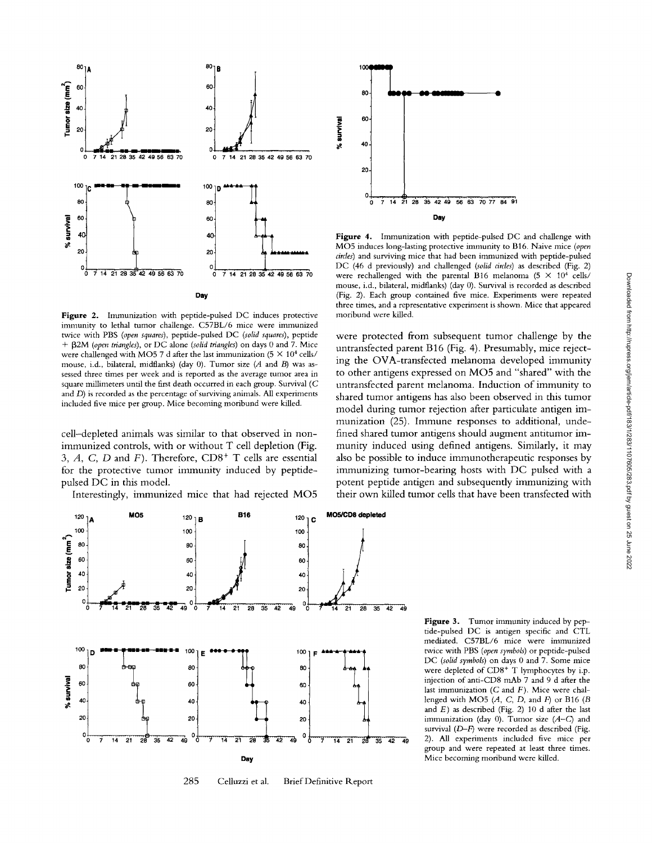

Figure 2. Immunization with peptide-pulsed DC induces protective immunity to lethal tumor challenge. C57BL/6 mice were immunized twice with PBS (open squares), peptide-pulsed DC (solid squares), peptide +  $\beta$ 2M (open triangles), or DC alone (solid triangles) on days 0 and 7. Mice were challenged with MO5 7 d after the last immunization (5  $\times$  10<sup>4</sup> cells/ mouse, i.d., bilateral, midflanks) (day 0). Tumor size (A and B) was assessed three times per week and is reported as the average tumor area in square millimeters until the first death occurred in each group. Survival ( $C$ and  $D$ ) is recorded as the percentage of surviving animals. All experiments included five mice per group. Mice becoming moribund were killed.

cell-depleted animals was similar to that observed in nonimmunized controls, with or without T cell depletion (Fig. 3, A, C, D and F). Therefore,  $CD8<sup>+</sup>$  T cells are essential for the protective tumor immunity induced by peptidepulsed DC in this model.

Interestingly, immunized mice that had rejected MO5



285 Celluzzi et al. **Brief Definitive Report** 



Figure 4. Immunization with peptide-pulsed DC and challenge with MO5 induces long-lasting protective immunity to B16. Naive mice (open circles) and surviving mice that had been immunized with peptide-pulsed DC (46 d previously) and challenged (solid circles) as described (Fig. 2) were rechallenged with the parental B16 melanoma (5  $\times$  10<sup>4</sup> cells/ mouse, i.d., bilateral, midflanks) (day 0). Survival is recorded as described (Fig. 2). Each group contained five mice. Experiments were repeated three times, and a representative experiment is shown. Mice that appeared moribund were killed.

were protected from subsequent tumor challenge by the untransfected parent B16 (Fig. 4). Presumably, mice rejecting the OVA-transfected melanoma developed immunity to other antigens expressed on MO5 and "shared" with the untransfected parent melanoma. Induction of immunity to shared tumor antigens has also been observed in this tumor model during tumor rejection after particulate antigen immunization (25). Immune responses to additional, undefined shared tumor antigens should augment antitumor immunity induced using defined antigens. Similarly, it may also be possible to induce immunotherapeutic responses by immunizing tumor-bearing hosts with DC pulsed with a potent peptide antigen and subsequently immunizing with their own killed tumor cells that have been transfected with

> Figure 3. Tumor immunity induced by peptide-pulsed DC is antigen specific and CTL mediated. C57BL/6 mice were immunized twice with PBS (open symbols) or peptide-pulsed DC (solid symbols) on days 0 and 7. Some mice were depleted of CD8<sup>+</sup> T lymphocytes by i.p. injection of anti-CD8 mAb 7 and 9 d after the last immunization  $(C$  and  $F)$ . Mice were challenged with MO5  $(A, C, D, \text{ and } F)$  or B16  $(B)$ and  $E$ ) as described (Fig. 2) 10 d after the last immunization (day 0). Tumor size (A-C) and survival (D-F) were recorded as described (Fig. 2). All experiments included five mice per group and were repeated at least three times. Mice becoming moribund were killed.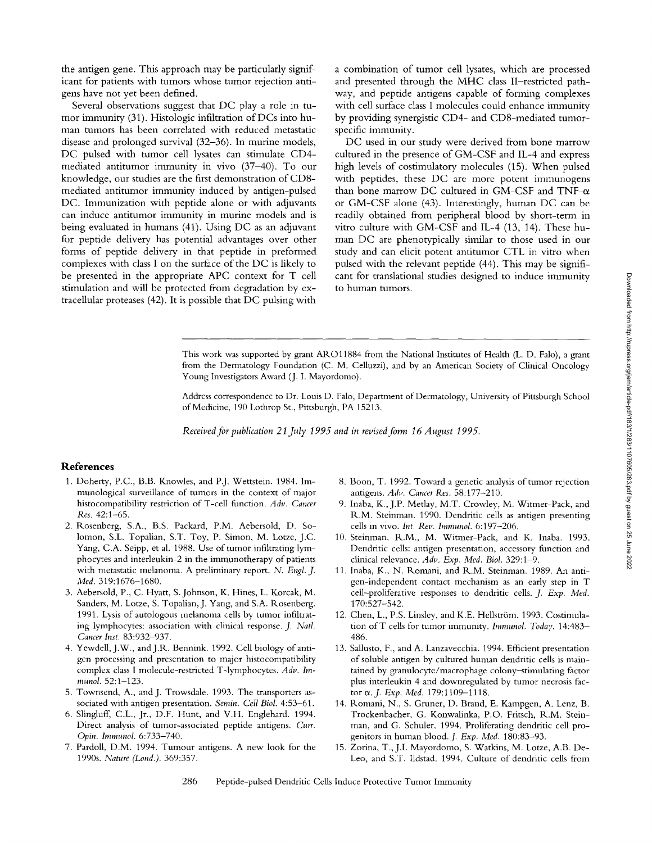the antigen gene. This approach may be particularly significant for patients with tumors whose tumor rejection antigens have not yet been defined.

Several observations suggest that DC play a role in tumor immunity (31). Histologic infiltration of DCs into human tumors has been correlated with reduced metastatic disease and prolonged survival (32-36). In murine models, DC pulsed with tumor cell lysates can stimulate CD4 mediated antitumor immunity in vivo (37-40). To our knowledge, our studies are the first demonstration of CD8 mediated antitumor immunity induced by antigen-pulsed DC. Immunization with peptide alone or with adjuvants can induce antitumor immunity in murine models and is being evaluated in humans (41). Using DC as an adjuvant for peptide delivery has potential advantages over other forms of peptide delivery in that peptide in preformed complexes with class I on the surface of the DC is likely to be presented in the appropriate APC context for T cell stimulation and will be protected from degradation by extracellular proteases (42). It is possible that DC pulsing with a combination of tumor cell lysates, which are processed and presented through the MHC class II-restricted pathway, and peptide antigens capable of forming complexes with cell surface class I molecules could enhance immunity by providing synergistic CD4- and CD8-mediated tumorspecific immunity.

DC used in our study were derived from bone marrow cultured in the presence of GM-CSF and IL-4 and express high levels of costimulatory molecules (15). When pulsed with peptides, these DC are more potent immunogens than bone marrow DC cultured in GM-CSF and TNF- $\alpha$ or GM-CSF alone (43). Interestingly, human DC can be readily obtained from peripheral blood by short-term in vitro culture with GM-CSF and IL-4 (13, 14). These human DC are phenotypically similar to those used in our study and can elicit potent antitumor CTL in vitro when pulsed with the relevant peptide (44). This may be significant for translational studies designed to induce immunity to human tumors.

This work was supported by grant AROl1884 from the National Institutes of Health (L. D. Falo), a grant from the Dermatology Foundation (C. M. Celluzzi), and by an American Society of Clinical Oncology Young Investigators Award (J. I. Mayordomo).

Address correspondence to Dr. Louis D. Falo, Department of Dermatology, University of Pittsburgh School of Medicine, 190 Lothrop St., Pittsburgh, PA 15213.

*Received for publication 21 July 1995 and in revised form 16 August 1995.* 

## **References**

- 1. Doherty, P.C., B.B. Knowles, and P.J. Wettstein. 1984. Immunological surveillance of tumors in the context of major histocompatibility restriction of T-cell function. *Adv. Cancer Res.* 42:1-65.
- 2. Rosenberg, S.A., B.S. Packard, P.M. Aebersold, D. Solomon, S.L. Topalian, S.T. Toy, P. Simon, M. Lotze, J.C. Yang, C.A. Seipp, et al. 1988. Use of tumor infiltrating lymphocytes and interleukin-2 in the immunotherapy of patients with metastatic melanoma. A preliminary report. *N. Engl. J. Med.* 319:1676-1680.
- 3. Aebersold, P., C. Hyatt, S. Johnson, K. Hines, L. Korcak, M. Sanders, M. Lotze, S. Topalian, J. Yang, and S.A. Rosenberg. 1991. Lysis of autologous melanoma cells by tumor infiltrating lymphocytes: association with clinical response. *J. Natl. Cancer Inst.* 83:932-937.
- 4. Yewdell, J.W., and J.R. Bennink. 1992. Cell biology of antigen processing and presentation to major histocompatibility complex class I molecule-restricted T-lymphocytes. *Adv. Immunol.* 52:1-123.
- 5. Townsend, A., and J. Trowsdale. 1993. The transporters associated with antigen presentation. *Semin. Cell Biol.* 4:53-61.
- 6. Slingluff, C.L., Jr., D.F. Hunt, and V.H. Englehard. 1994. Direct analysis of tumor-associated peptide antigens. *Curr. Opin. Immunol.* 6:733-740.
- 7. Pardoll, D.M. 1994. Tumour antigens. A new look for the 1990s. *Nature (Lond.).* 369:357.
- 8. Boon, T. 1992. Toward a genetic analysis of tumor rejection antigens. *Adv. Cancer Res.* 58:177-210.
- 9. Inaba, K., J.p. Metlay, M.T. Crowley, M. Witmer-Pack, and R.M. Steinman. 1990. Dendritic cells as antigen presenting cells in vivo. *lnt. Rev. Immunol.* 6:197-206.
- 10. Steinman, R.M., M. Witmer-Pack, and K. Inaba. 1993. Dendritic cells: antigen presentation, accessory function and clinical relevance. *Adv. Exp. Med. Biol.* 329:1-9.
- 11. Inaba, K., N. Romani, and R.M. Steinman. 1989. An antigen-independent contact mechanism as an early step in T cell-proliferative responses to dendritic cells. *J. Exp. Med.*  170:527-542.
- 12. Chen, L., P.S. Linsley, and K.E. Hellström. 1993. Costimulation ofT cells for tumor immunity. *Imrnunol. Today.* 14:483- 486.
- 13. Sallusto, F., and A. Lanzavecchia. 1994. Efficient presentation of soluble antigen by cultured human dendritic cells is maintained by granulocyte/macrophage colony~timulating factor plus interleukin 4 and downregulated by tumor necrosis factor e~.J. *Exp. Med.* 179:1109-1118.
- 14. Romani, N., S. Gruner, D. Brand, E. Kampgen, A. Lenz, B. Trockenbacher, G. Konwalinka, P.O. Fritsch, R.M. Steinman, and G. Schuler. 1994. Proliferating dendritic cell progenitors in human blood.J. *Exp. Med.* 180:83-93.
- 15. Zorina, T., J.I. Mayordomo, S. Watkins, M. Lotze, A.B. De-Leo, and S.T. lldstad. 1994. Culture of dendritic cells from